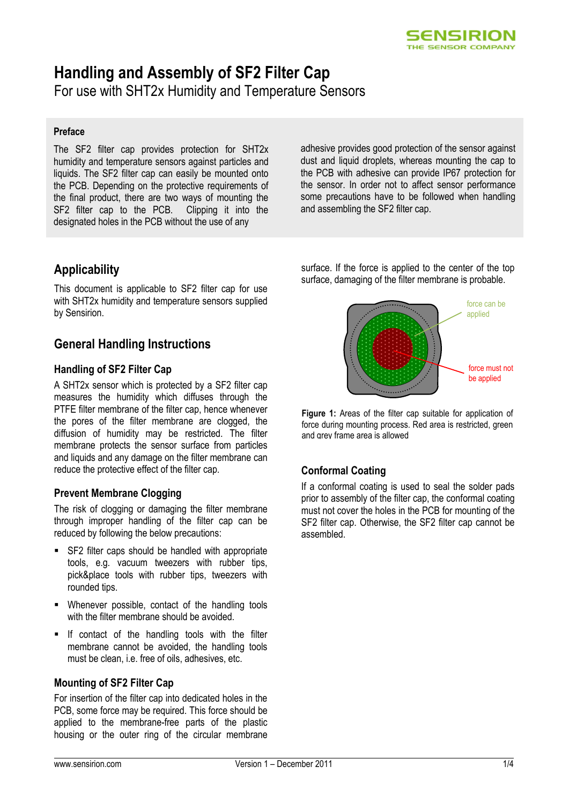

# **Handling and Assembly of SF2 Filter Cap**

For use with SHT2x Humidity and Temperature Sensors

#### **Preface**

The SF2 filter cap provides protection for SHT2x humidity and temperature sensors against particles and liquids. The SF2 filter cap can easily be mounted onto the PCB. Depending on the protective requirements of the final product, there are two ways of mounting the SF2 filter cap to the PCB. Clipping it into the designated holes in the PCB without the use of any

adhesive provides good protection of the sensor against dust and liquid droplets, whereas mounting the cap to the PCB with adhesive can provide IP67 protection for the sensor. In order not to affect sensor performance some precautions have to be followed when handling and assembling the SF2 filter cap.

# **Applicability**

This document is applicable to SF2 filter cap for use with SHT2x humidity and temperature sensors supplied by Sensirion.

# **General Handling Instructions**

#### **Handling of SF2 Filter Cap**

A SHT2x sensor which is protected by a SF2 filter cap measures the humidity which diffuses through the PTFE filter membrane of the filter cap, hence whenever the pores of the filter membrane are clogged, the diffusion of humidity may be restricted. The filter membrane protects the sensor surface from particles and liquids and any damage on the filter membrane can reduce the protective effect of the filter cap.

#### **Prevent Membrane Clogging**

The risk of clogging or damaging the filter membrane through improper handling of the filter cap can be reduced by following the below precautions:

- SF2 filter caps should be handled with appropriate tools, e.g. vacuum tweezers with rubber tips, pick&place tools with rubber tips, tweezers with rounded tips.
- Whenever possible, contact of the handling tools with the filter membrane should be avoided.
- $\blacksquare$  If contact of the handling tools with the filter membrane cannot be avoided, the handling tools must be clean, i.e. free of oils, adhesives, etc.

#### **Mounting of SF2 Filter Cap**

For insertion of the filter cap into dedicated holes in the PCB, some force may be required. This force should be applied to the membrane-free parts of the plastic housing or the outer ring of the circular membrane surface. If the force is applied to the center of the top surface, damaging of the filter membrane is probable.



**Figure 1:** Areas of the filter cap suitable for application of force during mounting process. Red area is restricted, green and grey frame area is allowed

#### **Conformal Coating**

If a conformal coating is used to seal the solder pads prior to assembly of the filter cap, the conformal coating must not cover the holes in the PCB for mounting of the SF2 filter cap. Otherwise, the SF2 filter cap cannot be assembled.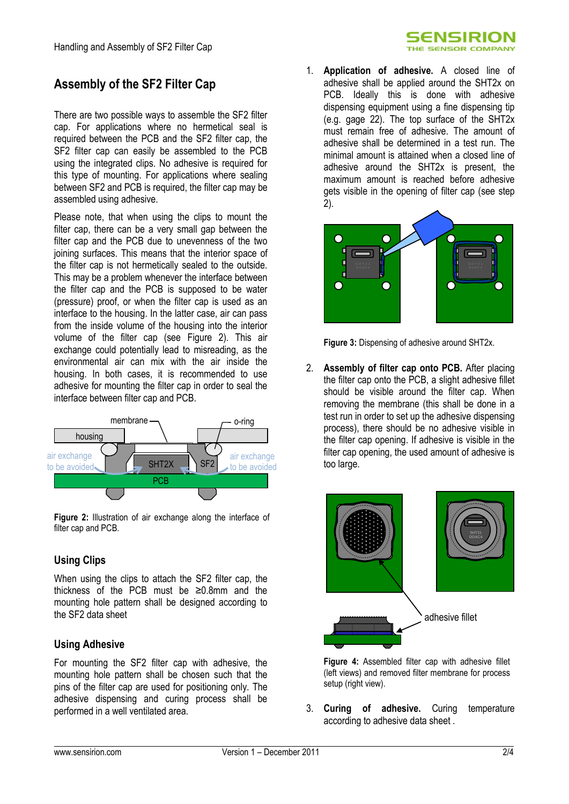#### SENSIRION THE SENSOR COMPANY

# **Assembly of the SF2 Filter Cap**

There are two possible ways to assemble the SF2 filter cap. For applications where no hermetical seal is required between the PCB and the SF2 filter cap, the SF2 filter cap can easily be assembled to the PCB using the integrated clips. No adhesive is required for this type of mounting. For applications where sealing between SF2 and PCB is required, the filter cap may be assembled using adhesive.

Please note, that when using the clips to mount the filter cap, there can be a very small gap between the filter cap and the PCB due to unevenness of the two joining surfaces. This means that the interior space of the filter cap is not hermetically sealed to the outside. This may be a problem whenever the interface between the filter cap and the PCB is supposed to be water (pressure) proof, or when the filter cap is used as an interface to the housing. In the latter case, air can pass from the inside volume of the housing into the interior volume of the filter cap (see [Figure 2\)](#page-1-0). This air exchange could potentially lead to misreading, as the environmental air can mix with the air inside the housing. In both cases, it is recommended to use adhesive for mounting the filter cap in order to seal the interface between filter cap and PCB.



<span id="page-1-0"></span>**Figure 2:** Illustration of air exchange along the interface of filter cap and PCB.

### **Using Clips**

When using the clips to attach the SF2 filter cap, the thickness of the PCB must be ≥0.8mm and the mounting hole pattern shall be designed according to the SF2 data sheet

#### **Using Adhesive**

For mounting the SF2 filter cap with adhesive, the mounting hole pattern shall be chosen such that the pins of the filter cap are used for positioning only. The adhesive dispensing and curing process shall be performed in a well ventilated area.

1. **Application of adhesive.** A closed line of adhesive shall be applied around the SHT2x on PCB. Ideally this is done with adhesive dispensing equipment using a fine dispensing tip (e.g. gage 22). The top surface of the SHT2x must remain free of adhesive. The amount of adhesive shall be determined in a test run. The minimal amount is attained when a closed line of adhesive around the SHT2x is present, the maximum amount is reached before adhesive gets visible in the opening of filter cap (see step 2).



**Figure 3:** Dispensing of adhesive around SHT2x.

2. **Assembly of filter cap onto PCB.** After placing the filter cap onto the PCB, a slight adhesive fillet should be visible around the filter cap. When removing the membrane (this shall be done in a test run in order to set up the adhesive dispensing process), there should be no adhesive visible in the filter cap opening. If adhesive is visible in the filter cap opening, the used amount of adhesive is too large.



**Figure 4:** Assembled filter cap with adhesive fillet (left views) and removed filter membrane for process setup (right view).

3. **Curing of adhesive.** Curing temperature according to adhesive data sheet .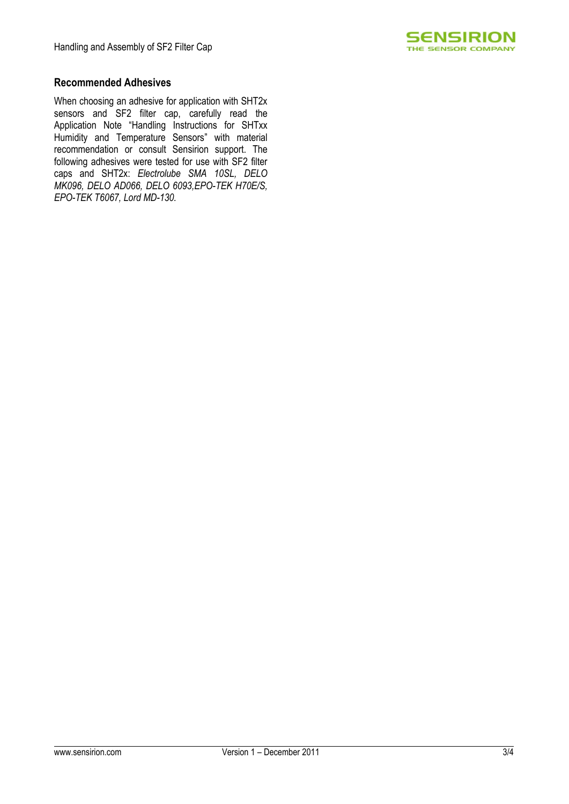

#### **Recommended Adhesives**

When choosing an adhesive for application with SHT2x sensors and SF2 filter cap, carefully read the Application Note "Handling Instructions for SHTxx Humidity and Temperature Sensors" with material recommendation or consult Sensirion support. The following adhesives were tested for use with SF2 filter caps and SHT2x: *Electrolube SMA 10SL, DELO MK096, DELO AD066, DELO 6093,EPO-TEK H70E/S, EPO-TEK T6067, Lord MD-130.*